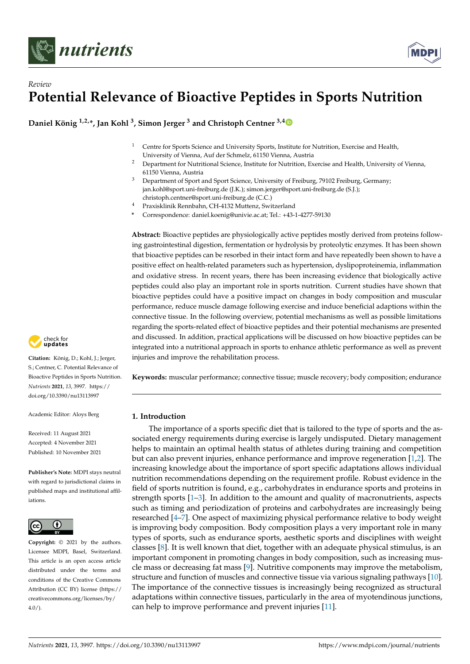



**Daniel König 1,2,\*, Jan Kohl <sup>3</sup> , Simon Jerger <sup>3</sup> and Christoph Centner 3,[4](https://orcid.org/0000-0001-6839-4438)**

- <sup>1</sup> Centre for Sports Science and University Sports, Institute for Nutrition, Exercise and Health, University of Vienna, Auf der Schmelz, 61150 Vienna, Austria
- <sup>2</sup> Department for Nutritional Science, Institute for Nutrition, Exercise and Health, University of Vienna, 61150 Vienna, Austria
- <sup>3</sup> Department of Sport and Sport Science, University of Freiburg, 79102 Freiburg, Germany; jan.kohl@sport.uni-freiburg.de (J.K.); simon.jerger@sport.uni-freiburg.de (S.J.); christoph.centner@sport.uni-freiburg.de (C.C.)
- <sup>4</sup> Praxisklinik Rennbahn, CH-4132 Muttenz, Switzerland
- **\*** Correspondence: daniel.koenig@univie.ac.at; Tel.: +43-1-4277-59130

**Abstract:** Bioactive peptides are physiologically active peptides mostly derived from proteins following gastrointestinal digestion, fermentation or hydrolysis by proteolytic enzymes. It has been shown that bioactive peptides can be resorbed in their intact form and have repeatedly been shown to have a positive effect on health-related parameters such as hypertension, dyslipoproteinemia, inflammation and oxidative stress. In recent years, there has been increasing evidence that biologically active peptides could also play an important role in sports nutrition. Current studies have shown that bioactive peptides could have a positive impact on changes in body composition and muscular performance, reduce muscle damage following exercise and induce beneficial adaptions within the connective tissue. In the following overview, potential mechanisms as well as possible limitations regarding the sports-related effect of bioactive peptides and their potential mechanisms are presented and discussed. In addition, practical applications will be discussed on how bioactive peptides can be integrated into a nutritional approach in sports to enhance athletic performance as well as prevent injuries and improve the rehabilitation process.

**Keywords:** muscular performance; connective tissue; muscle recovery; body composition; endurance

# **1. Introduction**

The importance of a sports specific diet that is tailored to the type of sports and the associated energy requirements during exercise is largely undisputed. Dietary management helps to maintain an optimal health status of athletes during training and competition but can also prevent injuries, enhance performance and improve regeneration [\[1](#page-8-0)[,2\]](#page-8-1). The increasing knowledge about the importance of sport specific adaptations allows individual nutrition recommendations depending on the requirement profile. Robust evidence in the field of sports nutrition is found, e.g., carbohydrates in endurance sports and proteins in strength sports [\[1](#page-8-0)[–3\]](#page-8-2). In addition to the amount and quality of macronutrients, aspects such as timing and periodization of proteins and carbohydrates are increasingly being researched [\[4](#page-8-3)[–7\]](#page-8-4). One aspect of maximizing physical performance relative to body weight is improving body composition. Body composition plays a very important role in many types of sports, such as endurance sports, aesthetic sports and disciplines with weight classes [\[8\]](#page-8-5). It is well known that diet, together with an adequate physical stimulus, is an important component in promoting changes in body composition, such as increasing muscle mass or decreasing fat mass [\[9\]](#page-8-6). Nutritive components may improve the metabolism, structure and function of muscles and connective tissue via various signaling pathways [\[10\]](#page-8-7). The importance of the connective tissues is increasingly being recognized as structural adaptations within connective tissues, particularly in the area of myotendinous junctions, can help to improve performance and prevent injuries [\[11\]](#page-8-8).



**Citation:** König, D.; Kohl, J.; Jerger, S.; Centner, C. Potential Relevance of Bioactive Peptides in Sports Nutrition. *Nutrients* **2021**, *13*, 3997. [https://](https://doi.org/10.3390/nu13113997) [doi.org/10.3390/nu13113997](https://doi.org/10.3390/nu13113997)

Academic Editor: Aloys Berg

Received: 11 August 2021 Accepted: 4 November 2021 Published: 10 November 2021

**Publisher's Note:** MDPI stays neutral with regard to jurisdictional claims in published maps and institutional affiliations.



**Copyright:** © 2021 by the authors. Licensee MDPI, Basel, Switzerland. This article is an open access article distributed under the terms and conditions of the Creative Commons Attribution (CC BY) license (https:/[/](https://creativecommons.org/licenses/by/4.0/) [creativecommons.org/licenses/by/](https://creativecommons.org/licenses/by/4.0/)  $4.0/$ ).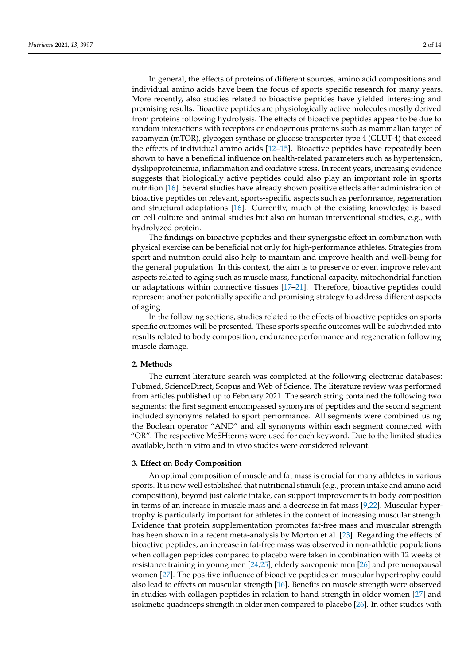In general, the effects of proteins of different sources, amino acid compositions and individual amino acids have been the focus of sports specific research for many years. More recently, also studies related to bioactive peptides have yielded interesting and promising results. Bioactive peptides are physiologically active molecules mostly derived from proteins following hydrolysis. The effects of bioactive peptides appear to be due to random interactions with receptors or endogenous proteins such as mammalian target of rapamycin (mTOR), glycogen synthase or glucose transporter type 4 (GLUT-4) that exceed the effects of individual amino acids [\[12–](#page-8-9)[15\]](#page-8-10). Bioactive peptides have repeatedly been shown to have a beneficial influence on health-related parameters such as hypertension, dyslipoproteinemia, inflammation and oxidative stress. In recent years, increasing evidence suggests that biologically active peptides could also play an important role in sports nutrition [\[16\]](#page-8-11). Several studies have already shown positive effects after administration of bioactive peptides on relevant, sports-specific aspects such as performance, regeneration and structural adaptations [\[16\]](#page-8-11). Currently, much of the existing knowledge is based on cell culture and animal studies but also on human interventional studies, e.g., with hydrolyzed protein.

The findings on bioactive peptides and their synergistic effect in combination with physical exercise can be beneficial not only for high-performance athletes. Strategies from sport and nutrition could also help to maintain and improve health and well-being for the general population. In this context, the aim is to preserve or even improve relevant aspects related to aging such as muscle mass, functional capacity, mitochondrial function or adaptations within connective tissues [\[17–](#page-9-0)[21\]](#page-9-1). Therefore, bioactive peptides could represent another potentially specific and promising strategy to address different aspects of aging.

In the following sections, studies related to the effects of bioactive peptides on sports specific outcomes will be presented. These sports specific outcomes will be subdivided into results related to body composition, endurance performance and regeneration following muscle damage.

#### **2. Methods**

The current literature search was completed at the following electronic databases: Pubmed, ScienceDirect, Scopus and Web of Science. The literature review was performed from articles published up to February 2021. The search string contained the following two segments: the first segment encompassed synonyms of peptides and the second segment included synonyms related to sport performance. All segments were combined using the Boolean operator "AND" and all synonyms within each segment connected with "OR". The respective MeSHterms were used for each keyword. Due to the limited studies available, both in vitro and in vivo studies were considered relevant.

#### **3. Effect on Body Composition**

An optimal composition of muscle and fat mass is crucial for many athletes in various sports. It is now well established that nutritional stimuli (e.g., protein intake and amino acid composition), beyond just caloric intake, can support improvements in body composition in terms of an increase in muscle mass and a decrease in fat mass [\[9](#page-8-6)[,22\]](#page-9-2). Muscular hypertrophy is particularly important for athletes in the context of increasing muscular strength. Evidence that protein supplementation promotes fat-free mass and muscular strength has been shown in a recent meta-analysis by Morton et al. [\[23\]](#page-9-3). Regarding the effects of bioactive peptides, an increase in fat-free mass was observed in non-athletic populations when collagen peptides compared to placebo were taken in combination with 12 weeks of resistance training in young men [\[24](#page-9-4)[,25\]](#page-9-5), elderly sarcopenic men [\[26\]](#page-9-6) and premenopausal women [\[27\]](#page-9-7). The positive influence of bioactive peptides on muscular hypertrophy could also lead to effects on muscular strength [\[16\]](#page-8-11). Benefits on muscle strength were observed in studies with collagen peptides in relation to hand strength in older women [\[27\]](#page-9-7) and isokinetic quadriceps strength in older men compared to placebo [\[26\]](#page-9-6). In other studies with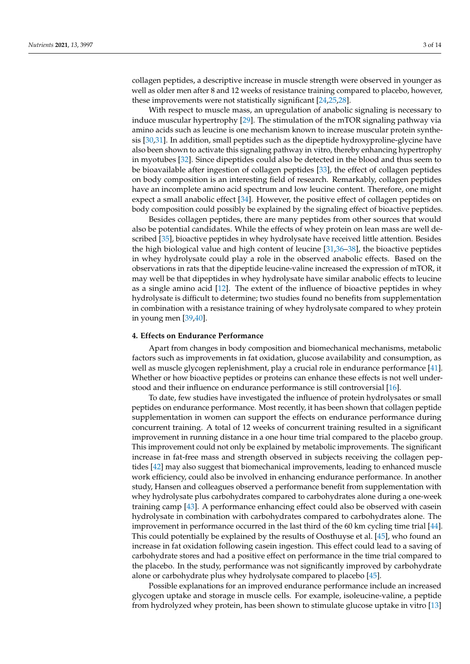collagen peptides, a descriptive increase in muscle strength were observed in younger as well as older men after 8 and 12 weeks of resistance training compared to placebo, however, these improvements were not statistically significant [\[24,](#page-9-4)[25,](#page-9-5)[28\]](#page-9-8).

With respect to muscle mass, an upregulation of anabolic signaling is necessary to induce muscular hypertrophy [\[29\]](#page-9-9). The stimulation of the mTOR signaling pathway via amino acids such as leucine is one mechanism known to increase muscular protein synthesis [\[30](#page-9-10)[,31\]](#page-9-11). In addition, small peptides such as the dipeptide hydroxyproline-glycine have also been shown to activate this signaling pathway in vitro, thereby enhancing hypertrophy in myotubes [\[32\]](#page-9-12). Since dipeptides could also be detected in the blood and thus seem to be bioavailable after ingestion of collagen peptides [\[33\]](#page-9-13), the effect of collagen peptides on body composition is an interesting field of research. Remarkably, collagen peptides have an incomplete amino acid spectrum and low leucine content. Therefore, one might expect a small anabolic effect [\[34\]](#page-9-14). However, the positive effect of collagen peptides on body composition could possibly be explained by the signaling effect of bioactive peptides.

Besides collagen peptides, there are many peptides from other sources that would also be potential candidates. While the effects of whey protein on lean mass are well described [\[35\]](#page-9-15), bioactive peptides in whey hydrolysate have received little attention. Besides the high biological value and high content of leucine [\[31,](#page-9-11)[36–](#page-9-16)[38\]](#page-9-17), the bioactive peptides in whey hydrolysate could play a role in the observed anabolic effects. Based on the observations in rats that the dipeptide leucine-valine increased the expression of mTOR, it may well be that dipeptides in whey hydrolysate have similar anabolic effects to leucine as a single amino acid [\[12\]](#page-8-9). The extent of the influence of bioactive peptides in whey hydrolysate is difficult to determine; two studies found no benefits from supplementation in combination with a resistance training of whey hydrolysate compared to whey protein in young men [\[39](#page-9-18)[,40\]](#page-10-0).

#### **4. Effects on Endurance Performance**

Apart from changes in body composition and biomechanical mechanisms, metabolic factors such as improvements in fat oxidation, glucose availability and consumption, as well as muscle glycogen replenishment, play a crucial role in endurance performance [\[41\]](#page-10-1). Whether or how bioactive peptides or proteins can enhance these effects is not well understood and their influence on endurance performance is still controversial [\[16\]](#page-8-11).

To date, few studies have investigated the influence of protein hydrolysates or small peptides on endurance performance. Most recently, it has been shown that collagen peptide supplementation in women can support the effects on endurance performance during concurrent training. A total of 12 weeks of concurrent training resulted in a significant improvement in running distance in a one hour time trial compared to the placebo group. This improvement could not only be explained by metabolic improvements. The significant increase in fat-free mass and strength observed in subjects receiving the collagen peptides [\[42\]](#page-10-2) may also suggest that biomechanical improvements, leading to enhanced muscle work efficiency, could also be involved in enhancing endurance performance. In another study, Hansen and colleagues observed a performance benefit from supplementation with whey hydrolysate plus carbohydrates compared to carbohydrates alone during a one-week training camp [\[43\]](#page-10-3). A performance enhancing effect could also be observed with casein hydrolysate in combination with carbohydrates compared to carbohydrates alone. The improvement in performance occurred in the last third of the 60 km cycling time trial [\[44\]](#page-10-4). This could potentially be explained by the results of Oosthuyse et al. [\[45\]](#page-10-5), who found an increase in fat oxidation following casein ingestion. This effect could lead to a saving of carbohydrate stores and had a positive effect on performance in the time trial compared to the placebo. In the study, performance was not significantly improved by carbohydrate alone or carbohydrate plus whey hydrolysate compared to placebo [\[45\]](#page-10-5).

Possible explanations for an improved endurance performance include an increased glycogen uptake and storage in muscle cells. For example, isoleucine-valine, a peptide from hydrolyzed whey protein, has been shown to stimulate glucose uptake in vitro [\[13\]](#page-8-12)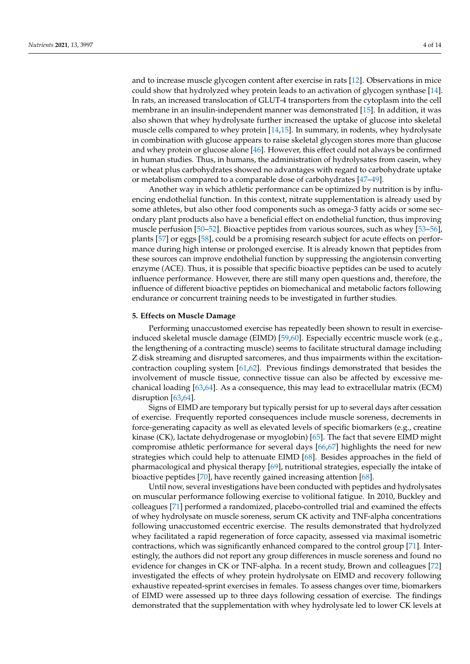and to increase muscle glycogen content after exercise in rats [\[12\]](#page-8-9). Observations in mice could show that hydrolyzed whey protein leads to an activation of glycogen synthase [\[14\]](#page-8-13). In rats, an increased translocation of GLUT-4 transporters from the cytoplasm into the cell membrane in an insulin-independent manner was demonstrated [\[15\]](#page-8-10). In addition, it was also shown that whey hydrolysate further increased the uptake of glucose into skeletal muscle cells compared to whey protein [\[14](#page-8-13)[,15\]](#page-8-10). In summary, in rodents, whey hydrolysate in combination with glucose appears to raise skeletal glycogen stores more than glucose and whey protein or glucose alone [\[46\]](#page-10-6). However, this effect could not always be confirmed in human studies. Thus, in humans, the administration of hydrolysates from casein, whey or wheat plus carbohydrates showed no advantages with regard to carbohydrate uptake or metabolism compared to a comparable dose of carbohydrates [\[47–](#page-10-7)[49\]](#page-10-8).

Another way in which athletic performance can be optimized by nutrition is by influencing endothelial function. In this context, nitrate supplementation is already used by some athletes, but also other food components such as omega-3 fatty acids or some secondary plant products also have a beneficial effect on endothelial function, thus improving muscle perfusion [\[50](#page-10-9)[–52\]](#page-10-10). Bioactive peptides from various sources, such as whey [\[53–](#page-10-11)[56\]](#page-10-12), plants [\[57\]](#page-10-13) or eggs [\[58\]](#page-10-14), could be a promising research subject for acute effects on performance during high intense or prolonged exercise. It is already known that peptides from these sources can improve endothelial function by suppressing the angiotensin converting enzyme (ACE). Thus, it is possible that specific bioactive peptides can be used to acutely influence performance. However, there are still many open questions and, therefore, the influence of different bioactive peptides on biomechanical and metabolic factors following endurance or concurrent training needs to be investigated in further studies.

#### **5. Effects on Muscle Damage**

Performing unaccustomed exercise has repeatedly been shown to result in exerciseinduced skeletal muscle damage (EIMD) [\[59,](#page-10-15)[60\]](#page-10-16). Especially eccentric muscle work (e.g., the lengthening of a contracting muscle) seems to facilitate structural damage including Z disk streaming and disrupted sarcomeres, and thus impairments within the excitationcontraction coupling system [\[61,](#page-10-17)[62\]](#page-10-18). Previous findings demonstrated that besides the involvement of muscle tissue, connective tissue can also be affected by excessive mechanical loading [\[63](#page-10-19)[,64\]](#page-10-20). As a consequence, this may lead to extracellular matrix (ECM) disruption [\[63](#page-10-19)[,64\]](#page-10-20).

Signs of EIMD are temporary but typically persist for up to several days after cessation of exercise. Frequently reported consequences include muscle soreness, decrements in force-generating capacity as well as elevated levels of specific biomarkers (e.g., creatine kinase (CK), lactate dehydrogenase or myoglobin) [\[65\]](#page-10-21). The fact that severe EIMD might compromise athletic performance for several days [\[66,](#page-11-0)[67\]](#page-11-1) highlights the need for new strategies which could help to attenuate EIMD [\[68\]](#page-11-2). Besides approaches in the field of pharmacological and physical therapy [\[69\]](#page-11-3), nutritional strategies, especially the intake of bioactive peptides [\[70\]](#page-11-4), have recently gained increasing attention [\[68\]](#page-11-2).

Until now, several investigations have been conducted with peptides and hydrolysates on muscular performance following exercise to volitional fatigue. In 2010, Buckley and colleagues [\[71\]](#page-11-5) performed a randomized, placebo-controlled trial and examined the effects of whey hydrolysate on muscle soreness, serum CK activity and TNF-alpha concentrations following unaccustomed eccentric exercise. The results demonstrated that hydrolyzed whey facilitated a rapid regeneration of force capacity, assessed via maximal isometric contractions, which was significantly enhanced compared to the control group [\[71\]](#page-11-5). Interestingly, the authors did not report any group differences in muscle soreness and found no evidence for changes in CK or TNF-alpha. In a recent study, Brown and colleagues [\[72\]](#page-11-6) investigated the effects of whey protein hydrolysate on EIMD and recovery following exhaustive repeated-sprint exercises in females. To assess changes over time, biomarkers of EIMD were assessed up to three days following cessation of exercise. The findings demonstrated that the supplementation with whey hydrolysate led to lower CK levels at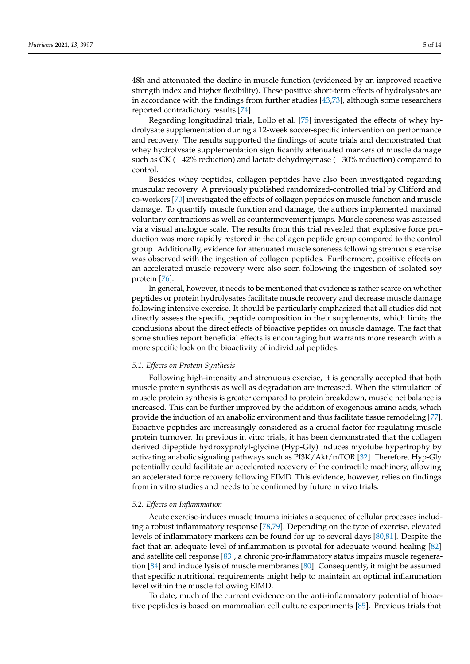48h and attenuated the decline in muscle function (evidenced by an improved reactive strength index and higher flexibility). These positive short-term effects of hydrolysates are in accordance with the findings from further studies [\[43,](#page-10-3)[73\]](#page-11-7), although some researchers reported contradictory results [\[74\]](#page-11-8).

Regarding longitudinal trials, Lollo et al. [\[75\]](#page-11-9) investigated the effects of whey hydrolysate supplementation during a 12-week soccer-specific intervention on performance and recovery. The results supported the findings of acute trials and demonstrated that whey hydrolysate supplementation significantly attenuated markers of muscle damage such as CK (−42% reduction) and lactate dehydrogenase (−30% reduction) compared to control.

Besides whey peptides, collagen peptides have also been investigated regarding muscular recovery. A previously published randomized-controlled trial by Clifford and co-workers [\[70\]](#page-11-4) investigated the effects of collagen peptides on muscle function and muscle damage. To quantify muscle function and damage, the authors implemented maximal voluntary contractions as well as countermovement jumps. Muscle soreness was assessed via a visual analogue scale. The results from this trial revealed that explosive force production was more rapidly restored in the collagen peptide group compared to the control group. Additionally, evidence for attenuated muscle soreness following strenuous exercise was observed with the ingestion of collagen peptides. Furthermore, positive effects on an accelerated muscle recovery were also seen following the ingestion of isolated soy protein [\[76\]](#page-11-10).

In general, however, it needs to be mentioned that evidence is rather scarce on whether peptides or protein hydrolysates facilitate muscle recovery and decrease muscle damage following intensive exercise. It should be particularly emphasized that all studies did not directly assess the specific peptide composition in their supplements, which limits the conclusions about the direct effects of bioactive peptides on muscle damage. The fact that some studies report beneficial effects is encouraging but warrants more research with a more specific look on the bioactivity of individual peptides.

# *5.1. Effects on Protein Synthesis*

Following high-intensity and strenuous exercise, it is generally accepted that both muscle protein synthesis as well as degradation are increased. When the stimulation of muscle protein synthesis is greater compared to protein breakdown, muscle net balance is increased. This can be further improved by the addition of exogenous amino acids, which provide the induction of an anabolic environment and thus facilitate tissue remodeling [\[77\]](#page-11-11). Bioactive peptides are increasingly considered as a crucial factor for regulating muscle protein turnover. In previous in vitro trials, it has been demonstrated that the collagen derived dipeptide hydroxyprolyl-glycine (Hyp-Gly) induces myotube hypertrophy by activating anabolic signaling pathways such as PI3K/Akt/mTOR [\[32\]](#page-9-12). Therefore, Hyp-Gly potentially could facilitate an accelerated recovery of the contractile machinery, allowing an accelerated force recovery following EIMD. This evidence, however, relies on findings from in vitro studies and needs to be confirmed by future in vivo trials.

### *5.2. Effects on Inflammation*

Acute exercise-induces muscle trauma initiates a sequence of cellular processes including a robust inflammatory response [\[78,](#page-11-12)[79\]](#page-11-13). Depending on the type of exercise, elevated levels of inflammatory markers can be found for up to several days [\[80,](#page-11-14)[81\]](#page-11-15). Despite the fact that an adequate level of inflammation is pivotal for adequate wound healing [\[82\]](#page-11-16) and satellite cell response [\[83\]](#page-11-17), a chronic pro-inflammatory status impairs muscle regeneration [\[84\]](#page-11-18) and induce lysis of muscle membranes [\[80\]](#page-11-14). Consequently, it might be assumed that specific nutritional requirements might help to maintain an optimal inflammation level within the muscle following EIMD.

To date, much of the current evidence on the anti-inflammatory potential of bioactive peptides is based on mammalian cell culture experiments [\[85\]](#page-11-19). Previous trials that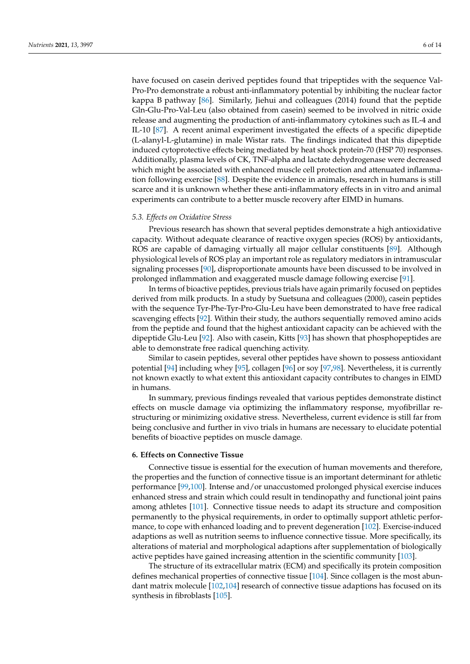have focused on casein derived peptides found that tripeptides with the sequence Val-Pro-Pro demonstrate a robust anti-inflammatory potential by inhibiting the nuclear factor kappa B pathway [\[86\]](#page-11-20). Similarly, Jiehui and colleagues (2014) found that the peptide Gln-Glu-Pro-Val-Leu (also obtained from casein) seemed to be involved in nitric oxide release and augmenting the production of anti-inflammatory cytokines such as IL-4 and IL-10 [\[87\]](#page-11-21). A recent animal experiment investigated the effects of a specific dipeptide (L-alanyl-L-glutamine) in male Wistar rats. The findings indicated that this dipeptide induced cytoprotective effects being mediated by heat shock protein-70 (HSP 70) responses. Additionally, plasma levels of CK, TNF-alpha and lactate dehydrogenase were decreased which might be associated with enhanced muscle cell protection and attenuated inflammation following exercise [\[88\]](#page-11-22). Despite the evidence in animals, research in humans is still scarce and it is unknown whether these anti-inflammatory effects in in vitro and animal experiments can contribute to a better muscle recovery after EIMD in humans.

#### *5.3. Effects on Oxidative Stress*

Previous research has shown that several peptides demonstrate a high antioxidative capacity. Without adequate clearance of reactive oxygen species (ROS) by antioxidants, ROS are capable of damaging virtually all major cellular constituents [\[89\]](#page-11-23). Although physiological levels of ROS play an important role as regulatory mediators in intramuscular signaling processes [\[90\]](#page-11-24), disproportionate amounts have been discussed to be involved in prolonged inflammation and exaggerated muscle damage following exercise [\[91\]](#page-11-25).

In terms of bioactive peptides, previous trials have again primarily focused on peptides derived from milk products. In a study by Suetsuna and colleagues (2000), casein peptides with the sequence Tyr-Phe-Tyr-Pro-Glu-Leu have been demonstrated to have free radical scavenging effects [\[92\]](#page-11-26). Within their study, the authors sequentially removed amino acids from the peptide and found that the highest antioxidant capacity can be achieved with the dipeptide Glu-Leu [\[92\]](#page-11-26). Also with casein, Kitts [\[93\]](#page-11-27) has shown that phosphopeptides are able to demonstrate free radical quenching activity.

Similar to casein peptides, several other peptides have shown to possess antioxidant potential [\[94\]](#page-12-0) including whey [\[95\]](#page-12-1), collagen [\[96\]](#page-12-2) or soy [\[97](#page-12-3)[,98\]](#page-12-4). Nevertheless, it is currently not known exactly to what extent this antioxidant capacity contributes to changes in EIMD in humans.

In summary, previous findings revealed that various peptides demonstrate distinct effects on muscle damage via optimizing the inflammatory response, myofibrillar restructuring or minimizing oxidative stress. Nevertheless, current evidence is still far from being conclusive and further in vivo trials in humans are necessary to elucidate potential benefits of bioactive peptides on muscle damage.

#### **6. Effects on Connective Tissue**

Connective tissue is essential for the execution of human movements and therefore, the properties and the function of connective tissue is an important determinant for athletic performance [\[99](#page-12-5)[,100\]](#page-12-6). Intense and/or unaccustomed prolonged physical exercise induces enhanced stress and strain which could result in tendinopathy and functional joint pains among athletes [\[101\]](#page-12-7). Connective tissue needs to adapt its structure and composition permanently to the physical requirements, in order to optimally support athletic performance, to cope with enhanced loading and to prevent degeneration [\[102\]](#page-12-8). Exercise-induced adaptions as well as nutrition seems to influence connective tissue. More specifically, its alterations of material and morphological adaptions after supplementation of biologically active peptides have gained increasing attention in the scientific community [\[103\]](#page-12-9).

The structure of its extracellular matrix (ECM) and specifically its protein composition defines mechanical properties of connective tissue [\[104\]](#page-12-10). Since collagen is the most abundant matrix molecule [\[102,](#page-12-8)[104\]](#page-12-10) research of connective tissue adaptions has focused on its synthesis in fibroblasts [\[105\]](#page-12-11).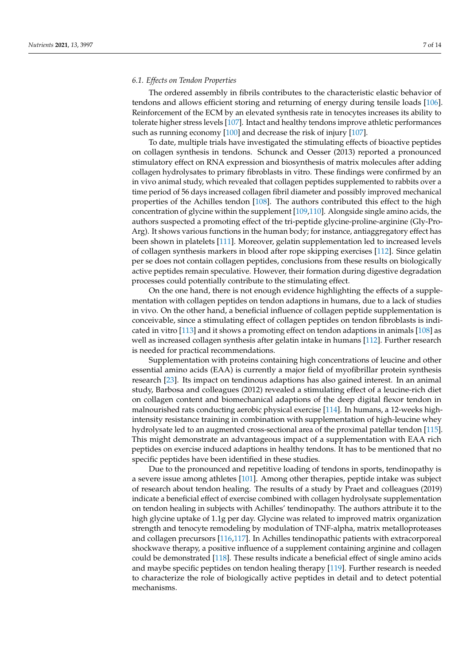### *6.1. Effects on Tendon Properties*

The ordered assembly in fibrils contributes to the characteristic elastic behavior of tendons and allows efficient storing and returning of energy during tensile loads [\[106\]](#page-12-12). Reinforcement of the ECM by an elevated synthesis rate in tenocytes increases its ability to tolerate higher stress levels [\[107\]](#page-12-13). Intact and healthy tendons improve athletic performances such as running economy [\[100\]](#page-12-6) and decrease the risk of injury [\[107\]](#page-12-13).

To date, multiple trials have investigated the stimulating effects of bioactive peptides on collagen synthesis in tendons. Schunck and Oesser (2013) reported a pronounced stimulatory effect on RNA expression and biosynthesis of matrix molecules after adding collagen hydrolysates to primary fibroblasts in vitro. These findings were confirmed by an in vivo animal study, which revealed that collagen peptides supplemented to rabbits over a time period of 56 days increased collagen fibril diameter and possibly improved mechanical properties of the Achilles tendon [\[108\]](#page-12-14). The authors contributed this effect to the high concentration of glycine within the supplement [\[109,](#page-12-15)[110\]](#page-12-16). Alongside single amino acids, the authors suspected a promoting effect of the tri-peptide glycine-proline-arginine (Gly-Pro-Arg). It shows various functions in the human body; for instance, antiaggregatory effect has been shown in platelets [\[111\]](#page-12-17). Moreover, gelatin supplementation led to increased levels of collagen synthesis markers in blood after rope skipping exercises [\[112\]](#page-12-18). Since gelatin per se does not contain collagen peptides, conclusions from these results on biologically active peptides remain speculative. However, their formation during digestive degradation processes could potentially contribute to the stimulating effect.

On the one hand, there is not enough evidence highlighting the effects of a supplementation with collagen peptides on tendon adaptions in humans, due to a lack of studies in vivo. On the other hand, a beneficial influence of collagen peptide supplementation is conceivable, since a stimulating effect of collagen peptides on tendon fibroblasts is indicated in vitro [\[113\]](#page-12-19) and it shows a promoting effect on tendon adaptions in animals [\[108\]](#page-12-14) as well as increased collagen synthesis after gelatin intake in humans [\[112\]](#page-12-18). Further research is needed for practical recommendations.

Supplementation with proteins containing high concentrations of leucine and other essential amino acids (EAA) is currently a major field of myofibrillar protein synthesis research [\[23\]](#page-9-3). Its impact on tendinous adaptions has also gained interest. In an animal study, Barbosa and colleagues (2012) revealed a stimulating effect of a leucine-rich diet on collagen content and biomechanical adaptions of the deep digital flexor tendon in malnourished rats conducting aerobic physical exercise [\[114\]](#page-12-20). In humans, a 12-weeks highintensity resistance training in combination with supplementation of high-leucine whey hydrolysate led to an augmented cross-sectional area of the proximal patellar tendon [\[115\]](#page-12-21). This might demonstrate an advantageous impact of a supplementation with EAA rich peptides on exercise induced adaptions in healthy tendons. It has to be mentioned that no specific peptides have been identified in these studies.

Due to the pronounced and repetitive loading of tendons in sports, tendinopathy is a severe issue among athletes [\[101\]](#page-12-7). Among other therapies, peptide intake was subject of research about tendon healing. The results of a study by Praet and colleagues (2019) indicate a beneficial effect of exercise combined with collagen hydrolysate supplementation on tendon healing in subjects with Achilles' tendinopathy. The authors attribute it to the high glycine uptake of 1.1g per day. Glycine was related to improved matrix organization strength and tenocyte remodeling by modulation of TNF-alpha, matrix metalloproteases and collagen precursors [\[116](#page-12-22)[,117\]](#page-12-23). In Achilles tendinopathic patients with extracorporeal shockwave therapy, a positive influence of a supplement containing arginine and collagen could be demonstrated [\[118\]](#page-12-24). These results indicate a beneficial effect of single amino acids and maybe specific peptides on tendon healing therapy [\[119\]](#page-12-25). Further research is needed to characterize the role of biologically active peptides in detail and to detect potential mechanisms.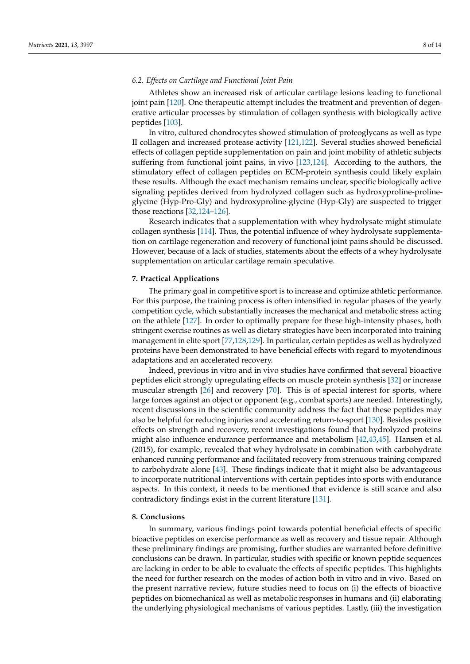# *6.2. Effects on Cartilage and Functional Joint Pain*

Athletes show an increased risk of articular cartilage lesions leading to functional joint pain [\[120\]](#page-13-0). One therapeutic attempt includes the treatment and prevention of degenerative articular processes by stimulation of collagen synthesis with biologically active peptides [\[103\]](#page-12-9).

In vitro, cultured chondrocytes showed stimulation of proteoglycans as well as type II collagen and increased protease activity [\[121,](#page-13-1)[122\]](#page-13-2). Several studies showed beneficial effects of collagen peptide supplementation on pain and joint mobility of athletic subjects suffering from functional joint pains, in vivo [\[123](#page-13-3)[,124\]](#page-13-4). According to the authors, the stimulatory effect of collagen peptides on ECM-protein synthesis could likely explain these results. Although the exact mechanism remains unclear, specific biologically active signaling peptides derived from hydrolyzed collagen such as hydroxyproline-prolineglycine (Hyp-Pro-Gly) and hydroxyproline-glycine (Hyp-Gly) are suspected to trigger those reactions [\[32,](#page-9-12)[124–](#page-13-4)[126\]](#page-13-5).

Research indicates that a supplementation with whey hydrolysate might stimulate collagen synthesis [\[114\]](#page-12-20). Thus, the potential influence of whey hydrolysate supplementation on cartilage regeneration and recovery of functional joint pains should be discussed. However, because of a lack of studies, statements about the effects of a whey hydrolysate supplementation on articular cartilage remain speculative.

# **7. Practical Applications**

The primary goal in competitive sport is to increase and optimize athletic performance. For this purpose, the training process is often intensified in regular phases of the yearly competition cycle, which substantially increases the mechanical and metabolic stress acting on the athlete [\[127\]](#page-13-6). In order to optimally prepare for these high-intensity phases, both stringent exercise routines as well as dietary strategies have been incorporated into training management in elite sport [\[77,](#page-11-11)[128](#page-13-7)[,129\]](#page-13-8). In particular, certain peptides as well as hydrolyzed proteins have been demonstrated to have beneficial effects with regard to myotendinous adaptations and an accelerated recovery.

Indeed, previous in vitro and in vivo studies have confirmed that several bioactive peptides elicit strongly upregulating effects on muscle protein synthesis [\[32\]](#page-9-12) or increase muscular strength [\[26\]](#page-9-6) and recovery [\[70\]](#page-11-4). This is of special interest for sports, where large forces against an object or opponent (e.g., combat sports) are needed. Interestingly, recent discussions in the scientific community address the fact that these peptides may also be helpful for reducing injuries and accelerating return-to-sport [\[130\]](#page-13-9). Besides positive effects on strength and recovery, recent investigations found that hydrolyzed proteins might also influence endurance performance and metabolism [\[42,](#page-10-2)[43,](#page-10-3)[45\]](#page-10-5). Hansen et al. (2015), for example, revealed that whey hydrolysate in combination with carbohydrate enhanced running performance and facilitated recovery from strenuous training compared to carbohydrate alone [\[43\]](#page-10-3). These findings indicate that it might also be advantageous to incorporate nutritional interventions with certain peptides into sports with endurance aspects. In this context, it needs to be mentioned that evidence is still scarce and also contradictory findings exist in the current literature [\[131\]](#page-13-10).

# **8. Conclusions**

In summary, various findings point towards potential beneficial effects of specific bioactive peptides on exercise performance as well as recovery and tissue repair. Although these preliminary findings are promising, further studies are warranted before definitive conclusions can be drawn. In particular, studies with specific or known peptide sequences are lacking in order to be able to evaluate the effects of specific peptides. This highlights the need for further research on the modes of action both in vitro and in vivo. Based on the present narrative review, future studies need to focus on (i) the effects of bioactive peptides on biomechanical as well as metabolic responses in humans and (ii) elaborating the underlying physiological mechanisms of various peptides. Lastly, (iii) the investigation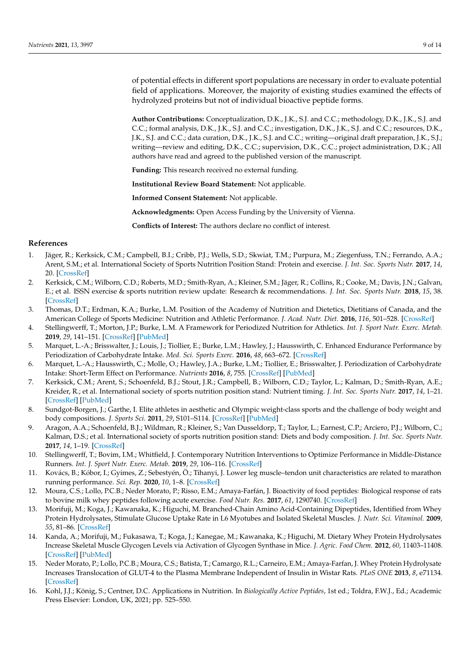of potential effects in different sport populations are necessary in order to evaluate potential field of applications. Moreover, the majority of existing studies examined the effects of hydrolyzed proteins but not of individual bioactive peptide forms.

**Author Contributions:** Conceptualization, D.K., J.K., S.J. and C.C.; methodology, D.K., J.K., S.J. and C.C.; formal analysis, D.K., J.K., S.J. and C.C.; investigation, D.K., J.K., S.J. and C.C.; resources, D.K., J.K., S.J. and C.C.; data curation, D.K., J.K., S.J. and C.C.; writing—original draft preparation, J.K., S.J.; writing—review and editing, D.K., C.C.; supervision, D.K., C.C.; project administration, D.K.; All authors have read and agreed to the published version of the manuscript.

**Funding:** This research received no external funding.

**Institutional Review Board Statement:** Not applicable.

**Informed Consent Statement:** Not applicable.

**Acknowledgments:** Open Access Funding by the University of Vienna.

**Conflicts of Interest:** The authors declare no conflict of interest.

# **References**

- <span id="page-8-0"></span>1. Jäger, R.; Kerksick, C.M.; Campbell, B.I.; Cribb, P.J.; Wells, S.D.; Skwiat, T.M.; Purpura, M.; Ziegenfuss, T.N.; Ferrando, A.A.; Arent, S.M.; et al. International Society of Sports Nutrition Position Stand: Protein and exercise. *J. Int. Soc. Sports Nutr.* **2017**, *14*, 20. [\[CrossRef\]](http://doi.org/10.1186/s12970-017-0177-8)
- <span id="page-8-1"></span>2. Kerksick, C.M.; Wilborn, C.D.; Roberts, M.D.; Smith-Ryan, A.; Kleiner, S.M.; Jäger, R.; Collins, R.; Cooke, M.; Davis, J.N.; Galvan, E.; et al. ISSN exercise & sports nutrition review update: Research & recommendations. *J. Int. Soc. Sports Nutr.* **2018**, *15*, 38. [\[CrossRef\]](http://doi.org/10.1186/s12970-018-0242-y)
- <span id="page-8-2"></span>3. Thomas, D.T.; Erdman, K.A.; Burke, L.M. Position of the Academy of Nutrition and Dietetics, Dietitians of Canada, and the American College of Sports Medicine: Nutrition and Athletic Performance. *J. Acad. Nutr. Diet.* **2016**, *116*, 501–528. [\[CrossRef\]](http://doi.org/10.1016/j.jand.2015.12.006)
- <span id="page-8-3"></span>4. Stellingwerff, T.; Morton, J.P.; Burke, L.M. A Framework for Periodized Nutrition for Athletics. *Int. J. Sport Nutr. Exerc. Metab.* **2019**, *29*, 141–151. [\[CrossRef\]](http://doi.org/10.1123/ijsnem.2018-0305) [\[PubMed\]](http://www.ncbi.nlm.nih.gov/pubmed/30632439)
- 5. Marquet, L.-A.; Brisswalter, J.; Louis, J.; Tiollier, E.; Burke, L.M.; Hawley, J.; Hausswirth, C. Enhanced Endurance Performance by Periodization of Carbohydrate Intake. *Med. Sci. Sports Exerc.* **2016**, *48*, 663–672. [\[CrossRef\]](http://doi.org/10.1249/MSS.0000000000000823)
- 6. Marquet, L.-A.; Hausswirth, C.; Molle, O.; Hawley, J.A.; Burke, L.M.; Tiollier, E.; Brisswalter, J. Periodization of Carbohydrate Intake: Short-Term Effect on Performance. *Nutrients* **2016**, *8*, 755. [\[CrossRef\]](http://doi.org/10.3390/nu8120755) [\[PubMed\]](http://www.ncbi.nlm.nih.gov/pubmed/27897989)
- <span id="page-8-4"></span>7. Kerksick, C.M.; Arent, S.; Schoenfeld, B.J.; Stout, J.R.; Campbell, B.; Wilborn, C.D.; Taylor, L.; Kalman, D.; Smith-Ryan, A.E.; Kreider, R.; et al. International society of sports nutrition position stand: Nutrient timing. *J. Int. Soc. Sports Nutr.* **2017**, *14*, 1–21. [\[CrossRef\]](http://doi.org/10.1186/s12970-017-0189-4) [\[PubMed\]](http://www.ncbi.nlm.nih.gov/pubmed/28919842)
- <span id="page-8-5"></span>8. Sundgot-Borgen, J.; Garthe, I. Elite athletes in aesthetic and Olympic weight-class sports and the challenge of body weight and body compositions. *J. Sports Sci.* **2011**, *29*, S101–S114. [\[CrossRef\]](http://doi.org/10.1080/02640414.2011.565783) [\[PubMed\]](http://www.ncbi.nlm.nih.gov/pubmed/21500080)
- <span id="page-8-6"></span>9. Aragon, A.A.; Schoenfeld, B.J.; Wildman, R.; Kleiner, S.; Van Dusseldorp, T.; Taylor, L.; Earnest, C.P.; Arciero, P.J.; Wilborn, C.; Kalman, D.S.; et al. International society of sports nutrition position stand: Diets and body composition. *J. Int. Soc. Sports Nutr.* **2017**, *14*, 1–19. [\[CrossRef\]](http://doi.org/10.1186/s12970-017-0174-y)
- <span id="page-8-7"></span>10. Stellingwerff, T.; Bovim, I.M.; Whitfield, J. Contemporary Nutrition Interventions to Optimize Performance in Middle-Distance Runners. *Int. J. Sport Nutr. Exerc. Metab.* **2019**, *29*, 106–116. [\[CrossRef\]](http://doi.org/10.1123/ijsnem.2018-0241)
- <span id="page-8-8"></span>11. Kovács, B.; Kóbor, I.; Gyimes, Z.; Sebestyén, Ö.; Tihanyi, J. Lower leg muscle–tendon unit characteristics are related to marathon running performance. *Sci. Rep.* **2020**, *10*, 1–8. [\[CrossRef\]](http://doi.org/10.1038/s41598-020-73742-5)
- <span id="page-8-9"></span>12. Moura, C.S.; Lollo, P.C.B.; Neder Morato, P.; Risso, E.M.; Amaya-Farfán, J. Bioactivity of food peptides: Biological response of rats to bovine milk whey peptides following acute exercise. *Food Nutr. Res.* **2017**, *61*, 1290740. [\[CrossRef\]](http://doi.org/10.1080/16546628.2017.1290740)
- <span id="page-8-12"></span>13. Morifuji, M.; Koga, J.; Kawanaka, K.; Higuchi, M. Branched-Chain Amino Acid-Containing Dipeptides, Identified from Whey Protein Hydrolysates, Stimulate Glucose Uptake Rate in L6 Myotubes and Isolated Skeletal Muscles. *J. Nutr. Sci. Vitaminol.* **2009**, *55*, 81–86. [\[CrossRef\]](http://doi.org/10.3177/jnsv.55.81)
- <span id="page-8-13"></span>14. Kanda, A.; Morifuji, M.; Fukasawa, T.; Koga, J.; Kanegae, M.; Kawanaka, K.; Higuchi, M. Dietary Whey Protein Hydrolysates Increase Skeletal Muscle Glycogen Levels via Activation of Glycogen Synthase in Mice. *J. Agric. Food Chem.* **2012**, *60*, 11403–11408. [\[CrossRef\]](http://doi.org/10.1021/jf302277a) [\[PubMed\]](http://www.ncbi.nlm.nih.gov/pubmed/23113736)
- <span id="page-8-10"></span>15. Neder Morato, P.; Lollo, P.C.B.; Moura, C.S.; Batista, T.; Camargo, R.L.; Carneiro, E.M.; Amaya-Farfan, J. Whey Protein Hydrolysate Increases Translocation of GLUT-4 to the Plasma Membrane Independent of Insulin in Wistar Rats. *PLoS ONE* **2013**, *8*, e71134. [\[CrossRef\]](http://doi.org/10.1371/journal.pone.0071134)
- <span id="page-8-11"></span>16. Kohl, J.J.; König, S.; Centner, D.C. Applications in Nutrition. In *Biologically Active Peptides*, 1st ed.; Toldra, F.W.J., Ed.; Academic Press Elsevier: London, UK, 2021; pp. 525–550.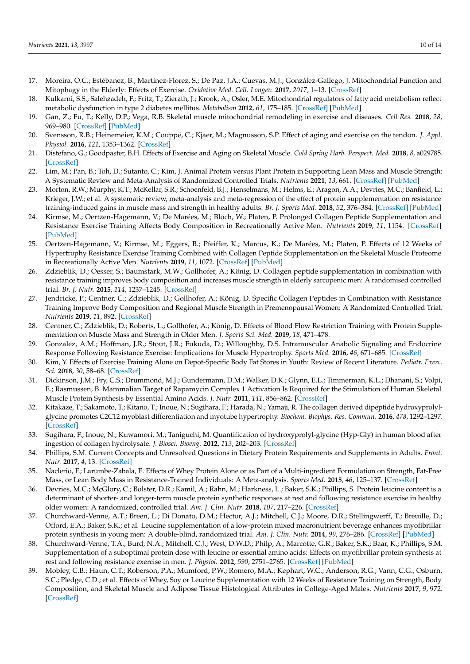- <span id="page-9-0"></span>17. Moreira, O.C.; Estébanez, B.; Martínez-Florez, S.; De Paz, J.A.; Cuevas, M.J.; González-Gallego, J. Mitochondrial Function and Mitophagy in the Elderly: Effects of Exercise. *Oxidative Med. Cell. Longev.* **2017**, *2017*, 1–13. [\[CrossRef\]](http://doi.org/10.1155/2017/2012798)
- 18. Kulkarni, S.S.; Salehzadeh, F.; Fritz, T.; Zierath, J.; Krook, A.; Osler, M.E. Mitochondrial regulators of fatty acid metabolism reflect metabolic dysfunction in type 2 diabetes mellitus. *Metabolism* **2012**, *61*, 175–185. [\[CrossRef\]](http://doi.org/10.1016/j.metabol.2011.06.014) [\[PubMed\]](http://www.ncbi.nlm.nih.gov/pubmed/21816445)
- 19. Gan, Z.; Fu, T.; Kelly, D.P.; Vega, R.B. Skeletal muscle mitochondrial remodeling in exercise and diseases. *Cell Res.* **2018**, *28*, 969–980. [\[CrossRef\]](http://doi.org/10.1038/s41422-018-0078-7) [\[PubMed\]](http://www.ncbi.nlm.nih.gov/pubmed/30108290)
- 20. Svensson, R.B.; Heinemeier, K.M.; Couppé, C.; Kjaer, M.; Magnusson, S.P. Effect of aging and exercise on the tendon. *J. Appl. Physiol.* **2016**, *121*, 1353–1362. [\[CrossRef\]](http://doi.org/10.1152/japplphysiol.00328.2016)
- <span id="page-9-1"></span>21. Distefano, G.; Goodpaster, B.H. Effects of Exercise and Aging on Skeletal Muscle. *Cold Spring Harb. Perspect. Med.* **2018**, *8*, a029785. [\[CrossRef\]](http://doi.org/10.1101/cshperspect.a029785)
- <span id="page-9-2"></span>22. Lim, M.; Pan, B.; Toh, D.; Sutanto, C.; Kim, J. Animal Protein versus Plant Protein in Supporting Lean Mass and Muscle Strength: A Systematic Review and Meta-Analysis of Randomized Controlled Trials. *Nutrients* **2021**, *13*, 661. [\[CrossRef\]](http://doi.org/10.3390/nu13020661) [\[PubMed\]](http://www.ncbi.nlm.nih.gov/pubmed/33670701)
- <span id="page-9-3"></span>23. Morton, R.W.; Murphy, K.T.; McKellar, S.R.; Schoenfeld, B.J.; Henselmans, M.; Helms, E.; Aragon, A.A.; Devries, M.C.; Banfield, L.; Krieger, J.W.; et al. A systematic review, meta-analysis and meta-regression of the effect of protein supplementation on resistance training-induced gains in muscle mass and strength in healthy adults. *Br. J. Sports Med.* **2018**, *52*, 376–384. [\[CrossRef\]](http://doi.org/10.1136/bjsports-2017-097608) [\[PubMed\]](http://www.ncbi.nlm.nih.gov/pubmed/28698222)
- <span id="page-9-4"></span>24. Kirmse, M.; Oertzen-Hagemann, V.; De Marées, M.; Bloch, W.; Platen, P. Prolonged Collagen Peptide Supplementation and Resistance Exercise Training Affects Body Composition in Recreationally Active Men. *Nutrients* **2019**, *11*, 1154. [\[CrossRef\]](http://doi.org/10.3390/nu11051154) [\[PubMed\]](http://www.ncbi.nlm.nih.gov/pubmed/31126103)
- <span id="page-9-5"></span>25. Oertzen-Hagemann, V.; Kirmse, M.; Eggers, B.; Pfeiffer, K.; Marcus, K.; De Marées, M.; Platen, P. Effects of 12 Weeks of Hypertrophy Resistance Exercise Training Combined with Collagen Peptide Supplementation on the Skeletal Muscle Proteome in Recreationally Active Men. *Nutrients* **2019**, *11*, 1072. [\[CrossRef\]](http://doi.org/10.3390/nu11051072) [\[PubMed\]](http://www.ncbi.nlm.nih.gov/pubmed/31091754)
- <span id="page-9-6"></span>26. Zdzieblik, D.; Oesser, S.; Baumstark, M.W.; Gollhofer, A.; König, D. Collagen peptide supplementation in combination with resistance training improves body composition and increases muscle strength in elderly sarcopenic men: A randomised controlled trial. *Br. J. Nutr.* **2015**, *114*, 1237–1245. [\[CrossRef\]](http://doi.org/10.1017/S0007114515002810)
- <span id="page-9-7"></span>27. Jendricke, P.; Centner, C.; Zdzieblik, D.; Gollhofer, A.; König, D. Specific Collagen Peptides in Combination with Resistance Training Improve Body Composition and Regional Muscle Strength in Premenopausal Women: A Randomized Controlled Trial. *Nutrients* **2019**, *11*, 892. [\[CrossRef\]](http://doi.org/10.3390/nu11040892)
- <span id="page-9-8"></span>28. Centner, C.; Zdzieblik, D.; Roberts, L.; Gollhofer, A.; König, D. Effects of Blood Flow Restriction Training with Protein Supplementation on Muscle Mass and Strength in Older Men. *J. Sports Sci. Med.* **2019**, *18*, 471–478.
- <span id="page-9-9"></span>29. Gonzalez, A.M.; Hoffman, J.R.; Stout, J.R.; Fukuda, D.; Willoughby, D.S. Intramuscular Anabolic Signaling and Endocrine Response Following Resistance Exercise: Implications for Muscle Hypertrophy. *Sports Med.* **2016**, *46*, 671–685. [\[CrossRef\]](http://doi.org/10.1007/s40279-015-0450-4)
- <span id="page-9-10"></span>30. Kim, Y. Effects of Exercise Training Alone on Depot-Specific Body Fat Stores in Youth: Review of Recent Literature. *Pediatr. Exerc. Sci.* **2018**, *30*, 58–68. [\[CrossRef\]](http://doi.org/10.1123/pes.2016-0275)
- <span id="page-9-11"></span>31. Dickinson, J.M.; Fry, C.S.; Drummond, M.J.; Gundermann, D.M.; Walker, D.K.; Glynn, E.L.; Timmerman, K.L.; Dhanani, S.; Volpi, E.; Rasmussen, B. Mammalian Target of Rapamycin Complex 1 Activation Is Required for the Stimulation of Human Skeletal Muscle Protein Synthesis by Essential Amino Acids. *J. Nutr.* **2011**, *141*, 856–862. [\[CrossRef\]](http://doi.org/10.3945/jn.111.139485)
- <span id="page-9-12"></span>32. Kitakaze, T.; Sakamoto, T.; Kitano, T.; Inoue, N.; Sugihara, F.; Harada, N.; Yamaji, R. The collagen derived dipeptide hydroxyprolylglycine promotes C2C12 myoblast differentiation and myotube hypertrophy. *Biochem. Biophys. Res. Commun.* **2016**, *478*, 1292–1297. [\[CrossRef\]](http://doi.org/10.1016/j.bbrc.2016.08.114)
- <span id="page-9-13"></span>33. Sugihara, F.; Inoue, N.; Kuwamori, M.; Taniguchi, M. Quantification of hydroxyprolyl-glycine (Hyp-Gly) in human blood after ingestion of collagen hydrolysate. *J. Biosci. Bioeng.* **2012**, *113*, 202–203. [\[CrossRef\]](http://doi.org/10.1016/j.jbiosc.2011.09.024)
- <span id="page-9-14"></span>34. Phillips, S.M. Current Concepts and Unresolved Questions in Dietary Protein Requirements and Supplements in Adults. *Front. Nutr.* **2017**, *4*, 13. [\[CrossRef\]](http://doi.org/10.3389/fnut.2017.00013)
- <span id="page-9-15"></span>35. Naclerio, F.; Larumbe-Zabala, E. Effects of Whey Protein Alone or as Part of a Multi-ingredient Formulation on Strength, Fat-Free Mass, or Lean Body Mass in Resistance-Trained Individuals: A Meta-analysis. *Sports Med.* **2015**, *46*, 125–137. [\[CrossRef\]](http://doi.org/10.1007/s40279-015-0403-y)
- <span id="page-9-16"></span>36. Devries, M.C.; McGlory, C.; Bolster, D.R.; Kamil, A.; Rahn, M.; Harkness, L.; Baker, S.K.; Phillips, S. Protein leucine content is a determinant of shorter- and longer-term muscle protein synthetic responses at rest and following resistance exercise in healthy older women: A randomized, controlled trial. *Am. J. Clin. Nutr.* **2018**, *107*, 217–226. [\[CrossRef\]](http://doi.org/10.1093/ajcn/nqx028)
- 37. Churchward-Venne, A.T.; Breen, L.; Di Donato, D.M.; Hector, A.J.; Mitchell, C.J.; Moore, D.R.; Stellingwerff, T.; Breuille, D.; Offord, E.A.; Baker, S.K.; et al. Leucine supplementation of a low-protein mixed macronutrient beverage enhances myofibrillar protein synthesis in young men: A double-blind, randomized trial. *Am. J. Clin. Nutr.* **2014**, *99*, 276–286. [\[CrossRef\]](http://doi.org/10.3945/ajcn.113.068775) [\[PubMed\]](http://www.ncbi.nlm.nih.gov/pubmed/24284442)
- <span id="page-9-17"></span>38. Churchward-Venne, T.A.; Burd, N.A.; Mitchell, C.J.; West, D.W.D.; Philp, A.; Marcotte, G.R.; Baker, S.K.; Baar, K.; Phillips, S.M. Supplementation of a suboptimal protein dose with leucine or essential amino acids: Effects on myofibrillar protein synthesis at rest and following resistance exercise in men. *J. Physiol.* **2012**, *590*, 2751–2765. [\[CrossRef\]](http://doi.org/10.1113/jphysiol.2012.228833) [\[PubMed\]](http://www.ncbi.nlm.nih.gov/pubmed/22451437)
- <span id="page-9-18"></span>39. Mobley, C.B.; Haun, C.T.; Roberson, P.A.; Mumford, P.W.; Romero, M.A.; Kephart, W.C.; Anderson, R.G.; Vann, C.G.; Osburn, S.C.; Pledge, C.D.; et al. Effects of Whey, Soy or Leucine Supplementation with 12 Weeks of Resistance Training on Strength, Body Composition, and Skeletal Muscle and Adipose Tissue Histological Attributes in College-Aged Males. *Nutrients* **2017**, *9*, 972. [\[CrossRef\]](http://doi.org/10.3390/nu9090972)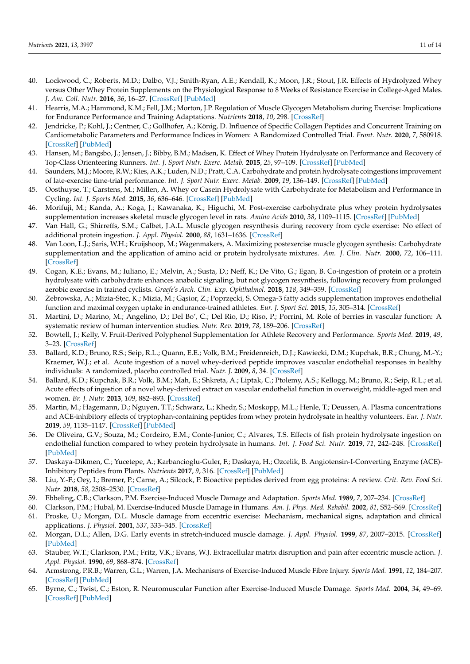- <span id="page-10-0"></span>40. Lockwood, C.; Roberts, M.D.; Dalbo, V.J.; Smith-Ryan, A.E.; Kendall, K.; Moon, J.R.; Stout, J.R. Effects of Hydrolyzed Whey versus Other Whey Protein Supplements on the Physiological Response to 8 Weeks of Resistance Exercise in College-Aged Males. *J. Am. Coll. Nutr.* **2016**, *36*, 16–27. [\[CrossRef\]](http://doi.org/10.1080/07315724.2016.1140094) [\[PubMed\]](http://www.ncbi.nlm.nih.gov/pubmed/27710436)
- <span id="page-10-1"></span>41. Hearris, M.A.; Hammond, K.M.; Fell, J.M.; Morton, J.P. Regulation of Muscle Glycogen Metabolism during Exercise: Implications for Endurance Performance and Training Adaptations. *Nutrients* **2018**, *10*, 298. [\[CrossRef\]](http://doi.org/10.3390/nu10030298)
- <span id="page-10-2"></span>42. Jendricke, P.; Kohl, J.; Centner, C.; Gollhofer, A.; König, D. Influence of Specific Collagen Peptides and Concurrent Training on Cardiometabolic Parameters and Performance Indices in Women: A Randomized Controlled Trial. *Front. Nutr.* **2020**, *7*, 580918. [\[CrossRef\]](http://doi.org/10.3389/fnut.2020.580918) [\[PubMed\]](http://www.ncbi.nlm.nih.gov/pubmed/33330579)
- <span id="page-10-3"></span>43. Hansen, M.; Bangsbo, J.; Jensen, J.; Bibby, B.M.; Madsen, K. Effect of Whey Protein Hydrolysate on Performance and Recovery of Top-Class Orienteering Runners. *Int. J. Sport Nutr. Exerc. Metab.* **2015**, *25*, 97–109. [\[CrossRef\]](http://doi.org/10.1123/ijsnem.2014-0083) [\[PubMed\]](http://www.ncbi.nlm.nih.gov/pubmed/25029703)
- <span id="page-10-4"></span>44. Saunders, M.J.; Moore, R.W.; Kies, A.K.; Luden, N.D.; Pratt, C.A. Carbohydrate and protein hydrolysate coingestions improvement of late-exercise time-trial performance. *Int. J. Sport Nutr. Exerc. Metab.* **2009**, *19*, 136–149. [\[CrossRef\]](http://doi.org/10.1123/ijsnem.19.2.136) [\[PubMed\]](http://www.ncbi.nlm.nih.gov/pubmed/19478339)
- <span id="page-10-5"></span>45. Oosthuyse, T.; Carstens, M.; Millen, A. Whey or Casein Hydrolysate with Carbohydrate for Metabolism and Performance in Cycling. *Int. J. Sports Med.* **2015**, *36*, 636–646. [\[CrossRef\]](http://doi.org/10.1055/s-0034-1398647) [\[PubMed\]](http://www.ncbi.nlm.nih.gov/pubmed/25941925)
- <span id="page-10-6"></span>46. Morifuji, M.; Kanda, A.; Koga, J.; Kawanaka, K.; Higuchi, M. Post-exercise carbohydrate plus whey protein hydrolysates supplementation increases skeletal muscle glycogen level in rats. *Amino Acids* **2010**, *38*, 1109–1115. [\[CrossRef\]](http://doi.org/10.1007/s00726-009-0321-0) [\[PubMed\]](http://www.ncbi.nlm.nih.gov/pubmed/19593593)
- <span id="page-10-7"></span>47. Van Hall, G.; Shirreffs, S.M.; Calbet, J.A.L. Muscle glycogen resynthesis during recovery from cycle exercise: No effect of additional protein ingestion. *J. Appl. Physiol.* **2000**, *88*, 1631–1636. [\[CrossRef\]](http://doi.org/10.1152/jappl.2000.88.5.1631)
- 48. Van Loon, L.J.; Saris, W.H.; Kruijshoop, M.; Wagenmakers, A. Maximizing postexercise muscle glycogen synthesis: Carbohydrate supplementation and the application of amino acid or protein hydrolysate mixtures. *Am. J. Clin. Nutr.* **2000**, *72*, 106–111. [\[CrossRef\]](http://doi.org/10.1093/ajcn/72.1.106)
- <span id="page-10-8"></span>49. Cogan, K.E.; Evans, M.; Iuliano, E.; Melvin, A.; Susta, D.; Neff, K.; De Vito, G.; Egan, B. Co-ingestion of protein or a protein hydrolysate with carbohydrate enhances anabolic signaling, but not glycogen resynthesis, following recovery from prolonged aerobic exercise in trained cyclists. *Graefe's Arch. Clin. Exp. Ophthalmol.* **2018**, *118*, 349–359. [\[CrossRef\]](http://doi.org/10.1007/s00421-017-3775-x)
- <span id="page-10-9"></span>50. Żebrowska, A.; Mizia-Stec, K.; Mizia, M.; Gasior, Z.; Poprzecki, S. Omega-3 fatty acids supplementation improves endothelial function and maximal oxygen uptake in endurance-trained athletes. *Eur. J. Sport Sci.* **2015**, *15*, 305–314. [\[CrossRef\]](http://doi.org/10.1080/17461391.2014.949310)
- 51. Martini, D.; Marino, M.; Angelino, D.; Del Bo', C.; Del Rio, D.; Riso, P.; Porrini, M. Role of berries in vascular function: A systematic review of human intervention studies. *Nutr. Rev.* **2019**, *78*, 189–206. [\[CrossRef\]](http://doi.org/10.1093/nutrit/nuz053)
- <span id="page-10-10"></span>52. Bowtell, J.; Kelly, V. Fruit-Derived Polyphenol Supplementation for Athlete Recovery and Performance. *Sports Med.* **2019**, *49*, 3–23. [\[CrossRef\]](http://doi.org/10.1007/s40279-018-0998-x)
- <span id="page-10-11"></span>53. Ballard, K.D.; Bruno, R.S.; Seip, R.L.; Quann, E.E.; Volk, B.M.; Freidenreich, D.J.; Kawiecki, D.M.; Kupchak, B.R.; Chung, M.-Y.; Kraemer, W.J.; et al. Acute ingestion of a novel whey-derived peptide improves vascular endothelial responses in healthy individuals: A randomized, placebo controlled trial. *Nutr. J.* **2009**, *8*, 34. [\[CrossRef\]](http://doi.org/10.1186/1475-2891-8-34)
- 54. Ballard, K.D.; Kupchak, B.R.; Volk, B.M.; Mah, E.; Shkreta, A.; Liptak, C.; Ptolemy, A.S.; Kellogg, M.; Bruno, R.; Seip, R.L.; et al. Acute effects of ingestion of a novel whey-derived extract on vascular endothelial function in overweight, middle-aged men and women. *Br. J. Nutr.* **2013**, *109*, 882–893. [\[CrossRef\]](http://doi.org/10.1017/S0007114512002061)
- 55. Martin, M.; Hagemann, D.; Nguyen, T.T.; Schwarz, L.; Khedr, S.; Moskopp, M.L.; Henle, T.; Deussen, A. Plasma concentrations and ACE-inhibitory effects of tryptophan-containing peptides from whey protein hydrolysate in healthy volunteers. *Eur. J. Nutr.* **2019**, *59*, 1135–1147. [\[CrossRef\]](http://doi.org/10.1007/s00394-019-01974-x) [\[PubMed\]](http://www.ncbi.nlm.nih.gov/pubmed/31053882)
- <span id="page-10-12"></span>56. De Oliveira, G.V.; Souza, M.; Cordeiro, E.M.; Conte-Junior, C.; Alvares, T.S. Effects of fish protein hydrolysate ingestion on endothelial function compared to whey protein hydrolysate in humans. *Int. J. Food Sci. Nutr.* **2019**, *71*, 242–248. [\[CrossRef\]](http://doi.org/10.1080/09637486.2019.1635090) [\[PubMed\]](http://www.ncbi.nlm.nih.gov/pubmed/31271072)
- <span id="page-10-13"></span>57. Daskaya-Dikmen, C.; Yucetepe, A.; Karbancioglu-Guler, F.; Daskaya, H.; Ozcelik, B. Angiotensin-I-Converting Enzyme (ACE)- Inhibitory Peptides from Plants. *Nutrients* **2017**, *9*, 316. [\[CrossRef\]](http://doi.org/10.3390/nu9040316) [\[PubMed\]](http://www.ncbi.nlm.nih.gov/pubmed/28333109)
- <span id="page-10-14"></span>58. Liu, Y.-F.; Oey, I.; Bremer, P.; Carne, A.; Silcock, P. Bioactive peptides derived from egg proteins: A review. *Crit. Rev. Food Sci. Nutr.* **2018**, *58*, 2508–2530. [\[CrossRef\]](http://doi.org/10.1080/10408398.2017.1329704)
- <span id="page-10-15"></span>59. Ebbeling, C.B.; Clarkson, P.M. Exercise-Induced Muscle Damage and Adaptation. *Sports Med.* **1989**, *7*, 207–234. [\[CrossRef\]](http://doi.org/10.2165/00007256-198907040-00001)
- <span id="page-10-17"></span><span id="page-10-16"></span>60. Clarkson, P.M.; Hubal, M. Exercise-Induced Muscle Damage in Humans. *Am. J. Phys. Med. Rehabil.* **2002**, *81*, S52–S69. [\[CrossRef\]](http://doi.org/10.1097/00002060-200211001-00007) 61. Proske, U.; Morgan, D.L. Muscle damage from eccentric exercise: Mechanism, mechanical signs, adaptation and clinical applications. *J. Physiol.* **2001**, *537*, 333–345. [\[CrossRef\]](http://doi.org/10.1111/j.1469-7793.2001.00333.x)
- <span id="page-10-18"></span>62. Morgan, D.L.; Allen, D.G. Early events in stretch-induced muscle damage. *J. Appl. Physiol.* **1999**, *87*, 2007–2015. [\[CrossRef\]](http://doi.org/10.1152/jappl.1999.87.6.2007) [\[PubMed\]](http://www.ncbi.nlm.nih.gov/pubmed/10601142)
- <span id="page-10-19"></span>63. Stauber, W.T.; Clarkson, P.M.; Fritz, V.K.; Evans, W.J. Extracellular matrix disruption and pain after eccentric muscle action. *J. Appl. Physiol.* **1990**, *69*, 868–874. [\[CrossRef\]](http://doi.org/10.1152/jappl.1990.69.3.868)
- <span id="page-10-20"></span>64. Armstrong, P.R.B.; Warren, G.L.; Warren, J.A. Mechanisms of Exercise-Induced Muscle Fibre Injury. *Sports Med.* **1991**, *12*, 184–207. [\[CrossRef\]](http://doi.org/10.2165/00007256-199112030-00004) [\[PubMed\]](http://www.ncbi.nlm.nih.gov/pubmed/1784873)
- <span id="page-10-21"></span>65. Byrne, C.; Twist, C.; Eston, R. Neuromuscular Function after Exercise-Induced Muscle Damage. *Sports Med.* **2004**, *34*, 49–69. [\[CrossRef\]](http://doi.org/10.2165/00007256-200434010-00005) [\[PubMed\]](http://www.ncbi.nlm.nih.gov/pubmed/14715039)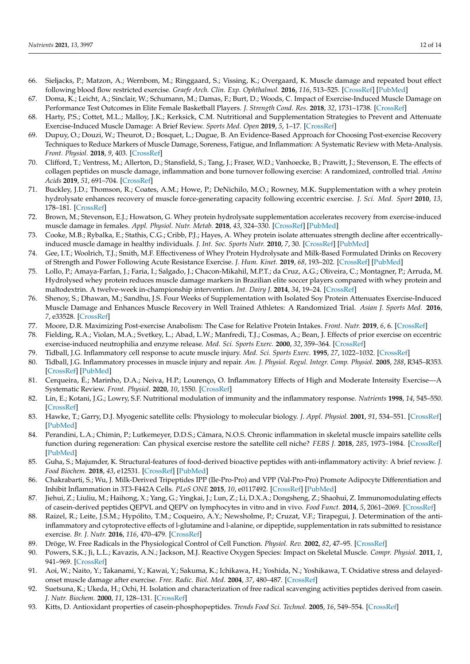- <span id="page-11-0"></span>66. Sieljacks, P.; Matzon, A.; Wernbom, M.; Ringgaard, S.; Vissing, K.; Overgaard, K. Muscle damage and repeated bout effect following blood flow restricted exercise. *Graefe Arch. Clin. Exp. Ophthalmol.* **2016**, *116*, 513–525. [\[CrossRef\]](http://doi.org/10.1007/s00421-015-3304-8) [\[PubMed\]](http://www.ncbi.nlm.nih.gov/pubmed/26645685)
- <span id="page-11-1"></span>67. Doma, K.; Leicht, A.; Sinclair, W.; Schumann, M.; Damas, F.; Burt, D.; Woods, C. Impact of Exercise-Induced Muscle Damage on Performance Test Outcomes in Elite Female Basketball Players. *J. Strength Cond. Res.* **2018**, *32*, 1731–1738. [\[CrossRef\]](http://doi.org/10.1519/JSC.0000000000002244)
- <span id="page-11-2"></span>68. Harty, P.S.; Cottet, M.L.; Malloy, J.K.; Kerksick, C.M. Nutritional and Supplementation Strategies to Prevent and Attenuate Exercise-Induced Muscle Damage: A Brief Review. *Sports Med. Open* **2019**, *5*, 1–17. [\[CrossRef\]](http://doi.org/10.1186/s40798-018-0176-6)
- <span id="page-11-3"></span>69. Dupuy, O.; Douzi, W.; Theurot, D.; Bosquet, L.; Dugue, B. An Evidence-Based Approach for Choosing Post-exercise Recovery Techniques to Reduce Markers of Muscle Damage, Soreness, Fatigue, and Inflammation: A Systematic Review with Meta-Analysis. *Front. Physiol.* **2018**, *9*, 403. [\[CrossRef\]](http://doi.org/10.3389/fphys.2018.00403)
- <span id="page-11-4"></span>70. Clifford, T.; Ventress, M.; Allerton, D.; Stansfield, S.; Tang, J.; Fraser, W.D.; Vanhoecke, B.; Prawitt, J.; Stevenson, E. The effects of collagen peptides on muscle damage, inflammation and bone turnover following exercise: A randomized, controlled trial. *Amino Acids* **2019**, *51*, 691–704. [\[CrossRef\]](http://doi.org/10.1007/s00726-019-02706-5)
- <span id="page-11-5"></span>71. Buckley, J.D.; Thomson, R.; Coates, A.M.; Howe, P.; DeNichilo, M.O.; Rowney, M.K. Supplementation with a whey protein hydrolysate enhances recovery of muscle force-generating capacity following eccentric exercise. *J. Sci. Med. Sport* **2010**, *13*, 178–181. [\[CrossRef\]](http://doi.org/10.1016/j.jsams.2008.06.007)
- <span id="page-11-6"></span>72. Brown, M.; Stevenson, E.J.; Howatson, G. Whey protein hydrolysate supplementation accelerates recovery from exercise-induced muscle damage in females. *Appl. Physiol. Nutr. Metab.* **2018**, *43*, 324–330. [\[CrossRef\]](http://doi.org/10.1139/apnm-2017-0412) [\[PubMed\]](http://www.ncbi.nlm.nih.gov/pubmed/29106812)
- <span id="page-11-7"></span>73. Cooke, M.B.; Rybalka, E.; Stathis, C.G.; Cribb, P.J.; Hayes, A. Whey protein isolate attenuates strength decline after eccentricallyinduced muscle damage in healthy individuals. *J. Int. Soc. Sports Nutr.* **2010**, *7*, 30. [\[CrossRef\]](http://doi.org/10.1186/1550-2783-7-30) [\[PubMed\]](http://www.ncbi.nlm.nih.gov/pubmed/20860817)
- <span id="page-11-8"></span>74. Gee, I.T.; Woolrich, T.J.; Smith, M.F. Effectiveness of Whey Protein Hydrolysate and Milk-Based Formulated Drinks on Recovery of Strength and Power Following Acute Resistance Exercise. *J. Hum. Kinet.* **2019**, *68*, 193–202. [\[CrossRef\]](http://doi.org/10.2478/hukin-2019-0066) [\[PubMed\]](http://www.ncbi.nlm.nih.gov/pubmed/31531144)
- <span id="page-11-9"></span>75. Lollo, P.; Amaya-Farfan, J.; Faria, I.; Salgado, J.; Chacon-Mikahil, M.P.T.; da Cruz, A.G.; Oliveira, C.; Montagner, P.; Arruda, M. Hydrolysed whey protein reduces muscle damage markers in Brazilian elite soccer players compared with whey protein and maltodextrin. A twelve-week in-championship intervention. *Int. Dairy J.* **2014**, *34*, 19–24. [\[CrossRef\]](http://doi.org/10.1016/j.idairyj.2013.07.001)
- <span id="page-11-10"></span>76. Shenoy, S.; Dhawan, M.; Sandhu, J.S. Four Weeks of Supplementation with Isolated Soy Protein Attenuates Exercise-Induced Muscle Damage and Enhances Muscle Recovery in Well Trained Athletes: A Randomized Trial. *Asian J. Sports Med.* **2016**, *7*, e33528. [\[CrossRef\]](http://doi.org/10.5812/asjsm.33528)
- <span id="page-11-11"></span>77. Moore, D.R. Maximizing Post-exercise Anabolism: The Case for Relative Protein Intakes. *Front. Nutr.* **2019**, *6*, 6. [\[CrossRef\]](http://doi.org/10.3389/fnut.2019.00147)
- <span id="page-11-12"></span>78. Fielding, R.A.; Violan, M.A.; Svetkey, L.; Abad, L.W.; Manfredi, T.J.; Cosmas, A.; Bean, J. Effects of prior exercise on eccentric exercise-induced neutrophilia and enzyme release. *Med. Sci. Sports Exerc.* **2000**, *32*, 359–364. [\[CrossRef\]](http://doi.org/10.1097/00005768-200002000-00015)
- <span id="page-11-13"></span>79. Tidball, J.G. Inflammatory cell response to acute muscle injury. *Med. Sci. Sports Exerc.* **1995**, *27*, 1022–1032. [\[CrossRef\]](http://doi.org/10.1249/00005768-199507000-00011)
- <span id="page-11-14"></span>80. Tidball, J.G. Inflammatory processes in muscle injury and repair. *Am. J. Physiol. Regul. Integr. Comp. Physiol.* **2005**, *288*, R345–R353. [\[CrossRef\]](http://doi.org/10.1152/ajpregu.00454.2004) [\[PubMed\]](http://www.ncbi.nlm.nih.gov/pubmed/15637171)
- <span id="page-11-15"></span>81. Cerqueira, É.; Marinho, D.A.; Neiva, H.P.; Lourenço, O. Inflammatory Effects of High and Moderate Intensity Exercise—A Systematic Review. *Front. Physiol.* **2020**, *10*, 1550. [\[CrossRef\]](http://doi.org/10.3389/fphys.2019.01550)
- <span id="page-11-16"></span>82. Lin, E.; Kotani, J.G.; Lowry, S.F. Nutritional modulation of immunity and the inflammatory response. *Nutrients* **1998**, *14*, 545–550. [\[CrossRef\]](http://doi.org/10.1016/S0899-9007(98)00046-X)
- <span id="page-11-17"></span>83. Hawke, T.; Garry, D.J. Myogenic satellite cells: Physiology to molecular biology. *J. Appl. Physiol.* **2001**, *91*, 534–551. [\[CrossRef\]](http://doi.org/10.1152/jappl.2001.91.2.534) [\[PubMed\]](http://www.ncbi.nlm.nih.gov/pubmed/11457764)
- <span id="page-11-18"></span>84. Perandini, L.A.; Chimin, P.; Lutkemeyer, D.D.S.; Câmara, N.O.S. Chronic inflammation in skeletal muscle impairs satellite cells function during regeneration: Can physical exercise restore the satellite cell niche? *FEBS J.* **2018**, *285*, 1973–1984. [\[CrossRef\]](http://doi.org/10.1111/febs.14417) [\[PubMed\]](http://www.ncbi.nlm.nih.gov/pubmed/29473995)
- <span id="page-11-19"></span>85. Guha, S.; Majumder, K. Structural-features of food-derived bioactive peptides with anti-inflammatory activity: A brief review. *J. Food Biochem.* **2018**, *43*, e12531. [\[CrossRef\]](http://doi.org/10.1111/jfbc.12531) [\[PubMed\]](http://www.ncbi.nlm.nih.gov/pubmed/31353488)
- <span id="page-11-20"></span>86. Chakrabarti, S.; Wu, J. Milk-Derived Tripeptides IPP (Ile-Pro-Pro) and VPP (Val-Pro-Pro) Promote Adipocyte Differentiation and Inhibit Inflammation in 3T3-F442A Cells. *PLoS ONE* **2015**, *10*, e0117492. [\[CrossRef\]](http://doi.org/10.1371/journal.pone.0117492) [\[PubMed\]](http://www.ncbi.nlm.nih.gov/pubmed/25714093)
- <span id="page-11-21"></span>87. Jiehui, Z.; Liuliu, M.; Haihong, X.; Yang, G.; Yingkai, J.; Lun, Z.; Li, D.X.A.; Dongsheng, Z.; Shaohui, Z. Immunomodulating effects of casein-derived peptides QEPVL and QEPV on lymphocytes in vitro and in vivo. *Food Funct.* **2014**, *5*, 2061–2069. [\[CrossRef\]](http://doi.org/10.1039/C3FO60657K)
- <span id="page-11-22"></span>88. Raizel, R.; Leite, J.S.M.; Hypólito, T.M.; Coqueiro, A.Y.; Newsholme, P.; Cruzat, V.F.; Tirapegui, J. Determination of the antiinflammatory and cytoprotective effects of l-glutamine and l-alanine, or dipeptide, supplementation in rats submitted to resistance exercise. *Br. J. Nutr.* **2016**, *116*, 470–479. [\[CrossRef\]](http://doi.org/10.1017/S0007114516001999)
- <span id="page-11-23"></span>89. Dröge, W. Free Radicals in the Physiological Control of Cell Function. *Physiol. Rev.* **2002**, *82*, 47–95. [\[CrossRef\]](http://doi.org/10.1152/physrev.00018.2001)
- <span id="page-11-24"></span>90. Powers, S.K.; Ji, L.L.; Kavazis, A.N.; Jackson, M.J. Reactive Oxygen Species: Impact on Skeletal Muscle. *Compr. Physiol.* **2011**, *1*, 941–969. [\[CrossRef\]](http://doi.org/10.1002/cphy.c100054)
- <span id="page-11-25"></span>91. Aoi, W.; Naito, Y.; Takanami, Y.; Kawai, Y.; Sakuma, K.; Ichikawa, H.; Yoshida, N.; Yoshikawa, T. Oxidative stress and delayedonset muscle damage after exercise. *Free. Radic. Biol. Med.* **2004**, *37*, 480–487. [\[CrossRef\]](http://doi.org/10.1016/j.freeradbiomed.2004.05.008)
- <span id="page-11-26"></span>92. Suetsuna, K.; Ukeda, H.; Ochi, H. Isolation and characterization of free radical scavenging activities peptides derived from casein. *J. Nutr. Biochem.* **2000**, *11*, 128–131. [\[CrossRef\]](http://doi.org/10.1016/S0955-2863(99)00083-2)
- <span id="page-11-27"></span>93. Kitts, D. Antioxidant properties of casein-phosphopeptides. *Trends Food Sci. Technol.* **2005**, *16*, 549–554. [\[CrossRef\]](http://doi.org/10.1016/j.tifs.2005.08.009)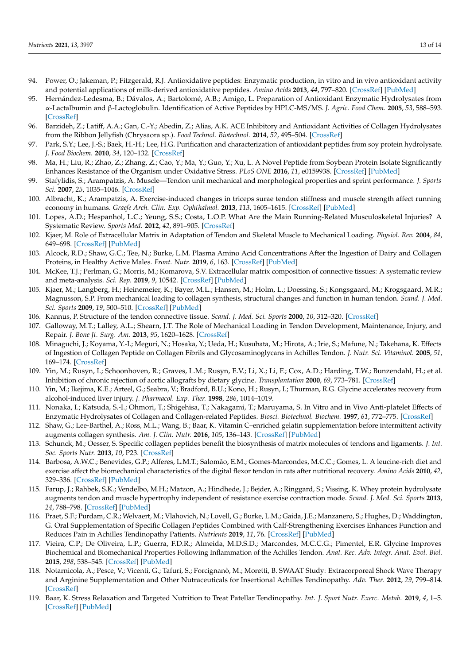- <span id="page-12-0"></span>94. Power, O.; Jakeman, P.; Fitzgerald, R.J. Antioxidative peptides: Enzymatic production, in vitro and in vivo antioxidant activity and potential applications of milk-derived antioxidative peptides. *Amino Acids* **2013**, *44*, 797–820. [\[CrossRef\]](http://doi.org/10.1007/s00726-012-1393-9) [\[PubMed\]](http://www.ncbi.nlm.nih.gov/pubmed/22968663)
- <span id="page-12-1"></span>95. Hernández-Ledesma, B.; Dávalos, A.; Bartolomé, A.B.; Amigo, L. Preparation of Antioxidant Enzymatic Hydrolysates from α-Lactalbumin and β-Lactoglobulin. Identification of Active Peptides by HPLC-MS/MS. *J. Agric. Food Chem.* **2005**, *53*, 588–593. [\[CrossRef\]](http://doi.org/10.1021/jf048626m)
- <span id="page-12-2"></span>96. Barzideh, Z.; Latiff, A.A.; Gan, C.-Y.; Abedin, Z.; Alias, A.K. ACE Inhibitory and Antioxidant Activities of Collagen Hydrolysates from the Ribbon Jellyfish (Chrysaora sp.). *Food Technol. Biotechnol.* **2014**, *52*, 495–504. [\[CrossRef\]](http://doi.org/10.17113/ftb.52.04.14.3641)
- <span id="page-12-3"></span>97. Park, S.Y.; Lee, J.-S.; Baek, H.-H.; Lee, H.G. Purification and characterization of antioxidant peptides from soy protein hydrolysate. *J. Food Biochem.* **2010**, *34*, 120–132. [\[CrossRef\]](http://doi.org/10.1111/j.1745-4514.2009.00313.x)
- <span id="page-12-4"></span>98. Ma, H.; Liu, R.; Zhao, Z.; Zhang, Z.; Cao, Y.; Ma, Y.; Guo, Y.; Xu, L. A Novel Peptide from Soybean Protein Isolate Significantly Enhances Resistance of the Organism under Oxidative Stress. *PLoS ONE* **2016**, *11*, e0159938. [\[CrossRef\]](http://doi.org/10.1371/journal.pone.0159938) [\[PubMed\]](http://www.ncbi.nlm.nih.gov/pubmed/27455060)
- <span id="page-12-5"></span>99. Stafylidis, S.; Arampatzis, A. Muscle—Tendon unit mechanical and morphological properties and sprint performance. *J. Sports Sci.* **2007**, *25*, 1035–1046. [\[CrossRef\]](http://doi.org/10.1080/02640410600951589)
- <span id="page-12-6"></span>100. Albracht, K.; Arampatzis, A. Exercise-induced changes in triceps surae tendon stiffness and muscle strength affect running economy in humans. *Graefe Arch. Clin. Exp. Ophthalmol.* **2013**, *113*, 1605–1615. [\[CrossRef\]](http://doi.org/10.1007/s00421-012-2585-4) [\[PubMed\]](http://www.ncbi.nlm.nih.gov/pubmed/23328797)
- <span id="page-12-7"></span>101. Lopes, A.D.; Hespanhol, L.C.; Yeung, S.S.; Costa, L.O.P. What Are the Main Running-Related Musculoskeletal Injuries? A Systematic Review. *Sports Med.* **2012**, *42*, 891–905. [\[CrossRef\]](http://doi.org/10.1007/BF03262301)
- <span id="page-12-8"></span>102. Kjaer, M. Role of Extracellular Matrix in Adaptation of Tendon and Skeletal Muscle to Mechanical Loading. *Physiol. Rev.* **2004**, *84*, 649–698. [\[CrossRef\]](http://doi.org/10.1152/physrev.00031.2003) [\[PubMed\]](http://www.ncbi.nlm.nih.gov/pubmed/15044685)
- <span id="page-12-9"></span>103. Alcock, R.D.; Shaw, G.C.; Tee, N.; Burke, L.M. Plasma Amino Acid Concentrations After the Ingestion of Dairy and Collagen Proteins, in Healthy Active Males. *Front. Nutr.* **2019**, *6*, 163. [\[CrossRef\]](http://doi.org/10.3389/fnut.2019.00163) [\[PubMed\]](http://www.ncbi.nlm.nih.gov/pubmed/31681789)
- <span id="page-12-10"></span>104. McKee, T.J.; Perlman, G.; Morris, M.; Komarova, S.V. Extracellular matrix composition of connective tissues: A systematic review and meta-analysis. *Sci. Rep.* **2019**, *9*, 10542. [\[CrossRef\]](http://doi.org/10.1038/s41598-019-46896-0) [\[PubMed\]](http://www.ncbi.nlm.nih.gov/pubmed/31332239)
- <span id="page-12-11"></span>105. Kjaer, M.; Langberg, H.; Heinemeier, K.; Bayer, M.L.; Hansen, M.; Holm, L.; Doessing, S.; Kongsgaard, M.; Krogsgaard, M.R.; Magnusson, S.P. From mechanical loading to collagen synthesis, structural changes and function in human tendon. *Scand. J. Med. Sci. Sports* **2009**, *19*, 500–510. [\[CrossRef\]](http://doi.org/10.1111/j.1600-0838.2009.00986.x) [\[PubMed\]](http://www.ncbi.nlm.nih.gov/pubmed/19706001)
- <span id="page-12-12"></span>106. Kannus, P. Structure of the tendon connective tissue. *Scand. J. Med. Sci. Sports* **2000**, *10*, 312–320. [\[CrossRef\]](http://doi.org/10.1034/j.1600-0838.2000.010006312.x)
- <span id="page-12-13"></span>107. Galloway, M.T.; Lalley, A.L.; Shearn, J.T. The Role of Mechanical Loading in Tendon Development, Maintenance, Injury, and Repair. *J. Bone Jt. Surg. Am.* **2013**, *95*, 1620–1628. [\[CrossRef\]](http://doi.org/10.2106/JBJS.L.01004)
- <span id="page-12-14"></span>108. Minaguchi, J.; Koyama, Y.-I.; Meguri, N.; Hosaka, Y.; Ueda, H.; Kusubata, M.; Hirota, A.; Irie, S.; Mafune, N.; Takehana, K. Effects of Ingestion of Collagen Peptide on Collagen Fibrils and Glycosaminoglycans in Achilles Tendon. *J. Nutr. Sci. Vitaminol.* **2005**, *51*, 169–174. [\[CrossRef\]](http://doi.org/10.3177/jnsv.51.169)
- <span id="page-12-15"></span>109. Yin, M.; Rusyn, I.; Schoonhoven, R.; Graves, L.M.; Rusyn, E.V.; Li, X.; Li, F.; Cox, A.D.; Harding, T.W.; Bunzendahl, H.; et al. Inhibition of chronic rejection of aortic allografts by dietary glycine. *Transplantation* **2000**, *69*, 773–781. [\[CrossRef\]](http://doi.org/10.1097/00007890-200003150-00017)
- <span id="page-12-16"></span>110. Yin, M.; Ikejima, K.E.; Arteel, G.; Seabra, V.; Bradford, B.U.; Kono, H.; Rusyn, I.; Thurman, R.G. Glycine accelerates recovery from alcohol-induced liver injury. *J. Pharmacol. Exp. Ther.* **1998**, *286*, 1014–1019.
- <span id="page-12-17"></span>111. Nonaka, I.; Katsuda, S.-I.; Ohmori, T.; Shigehisa, T.; Nakagami, T.; Maruyama, S. In Vitro and in Vivo Anti-platelet Effects of Enzymatic Hydrolysates of Collagen and Collagen-related Peptides. *Biosci. Biotechnol. Biochem.* **1997**, *61*, 772–775. [\[CrossRef\]](http://doi.org/10.1271/bbb.61.772)
- <span id="page-12-18"></span>112. Shaw, G.; Lee-Barthel, A.; Ross, M.L.; Wang, B.; Baar, K. Vitamin C–enriched gelatin supplementation before intermittent activity augments collagen synthesis. *Am. J. Clin. Nutr.* **2016**, *105*, 136–143. [\[CrossRef\]](http://doi.org/10.3945/ajcn.116.138594) [\[PubMed\]](http://www.ncbi.nlm.nih.gov/pubmed/27852613)
- <span id="page-12-19"></span>113. Schunck, M.; Oesser, S. Specific collagen peptides benefit the biosynthesis of matrix molecules of tendons and ligaments. *J. Int. Soc. Sports Nutr.* **2013**, *10*, P23. [\[CrossRef\]](http://doi.org/10.1186/1550-2783-10-S1-P23)
- <span id="page-12-20"></span>114. Barbosa, A.W.C.; Benevides, G.P.; Alferes, L.M.T.; Salomão, E.M.; Gomes-Marcondes, M.C.C.; Gomes, L. A leucine-rich diet and exercise affect the biomechanical characteristics of the digital flexor tendon in rats after nutritional recovery. *Amino Acids* **2010**, *42*, 329–336. [\[CrossRef\]](http://doi.org/10.1007/s00726-010-0810-1) [\[PubMed\]](http://www.ncbi.nlm.nih.gov/pubmed/21107621)
- <span id="page-12-21"></span>115. Farup, J.; Rahbek, S.K.; Vendelbo, M.H.; Matzon, A.; Hindhede, J.; Bejder, A.; Ringgard, S.; Vissing, K. Whey protein hydrolysate augments tendon and muscle hypertrophy independent of resistance exercise contraction mode. *Scand. J. Med. Sci. Sports* **2013**, *24*, 788–798. [\[CrossRef\]](http://doi.org/10.1111/sms.12083) [\[PubMed\]](http://www.ncbi.nlm.nih.gov/pubmed/23647357)
- <span id="page-12-22"></span>116. Praet, S.F.; Purdam, C.R.; Welvaert, M.; Vlahovich, N.; Lovell, G.; Burke, L.M.; Gaida, J.E.; Manzanero, S.; Hughes, D.; Waddington, G. Oral Supplementation of Specific Collagen Peptides Combined with Calf-Strengthening Exercises Enhances Function and Reduces Pain in Achilles Tendinopathy Patients. *Nutrients* **2019**, *11*, 76. [\[CrossRef\]](http://doi.org/10.3390/nu11010076) [\[PubMed\]](http://www.ncbi.nlm.nih.gov/pubmed/30609761)
- <span id="page-12-23"></span>117. Vieira, C.P.; De Oliveira, L.P.; Guerra, F.D.R.; Almeida, M.D.S.D.; Marcondes, M.C.C.G.; Pimentel, E.R. Glycine Improves Biochemical and Biomechanical Properties Following Inflammation of the Achilles Tendon. *Anat. Rec. Adv. Integr. Anat. Evol. Biol.* **2015**, *298*, 538–545. [\[CrossRef\]](http://doi.org/10.1002/ar.23041) [\[PubMed\]](http://www.ncbi.nlm.nih.gov/pubmed/25156668)
- <span id="page-12-24"></span>118. Notarnicola, A.; Pesce, V.; Vicenti, G.; Tafuri, S.; Forcignanò, M.; Moretti, B. SWAAT Study: Extracorporeal Shock Wave Therapy and Arginine Supplementation and Other Nutraceuticals for Insertional Achilles Tendinopathy. *Adv. Ther.* **2012**, *29*, 799–814. [\[CrossRef\]](http://doi.org/10.1007/s12325-012-0046-4)
- <span id="page-12-25"></span>119. Baar, K. Stress Relaxation and Targeted Nutrition to Treat Patellar Tendinopathy. *Int. J. Sport Nutr. Exerc. Metab.* **2019**, *4*, 1–5. [\[CrossRef\]](http://doi.org/10.1123/ijsnem.2018-0231) [\[PubMed\]](http://www.ncbi.nlm.nih.gov/pubmed/30299199)